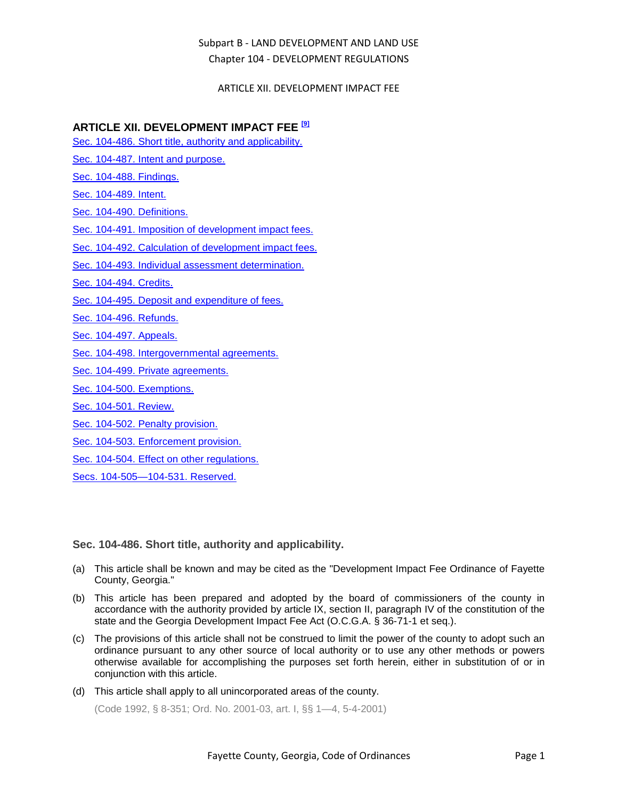### ARTICLE XII. DEVELOPMENT IMPACT FEE

## **ARTICLE XII. DEVELOPMENT IMPACT FEE [9]**

- [Sec. 104-486. Short title, authority and applicability.](#page-0-0)
- [Sec. 104-487. Intent and purpose.](#page-1-0)
- [Sec. 104-488. Findings.](#page-1-1)
- [Sec. 104-489. Intent.](#page-1-2)
- [Sec. 104-490. Definitions.](#page-1-3)
- [Sec. 104-491. Imposition of development impact fees.](#page-3-0)
- [Sec. 104-492. Calculation of development impact fees.](#page-4-0)
- [Sec. 104-493. Individual assessment determination.](#page-5-0)
- [Sec. 104-494. Credits.](#page-5-1)
- [Sec. 104-495. Deposit and expenditure of fees.](#page-7-0)
- [Sec. 104-496. Refunds.](#page-7-1)
- [Sec. 104-497. Appeals.](#page-8-0)
- [Sec. 104-498. Intergovernmental agreements.](#page-9-0)
- [Sec. 104-499. Private agreements.](#page-9-1)
- [Sec. 104-500. Exemptions.](#page-10-0)
- [Sec. 104-501. Review.](#page-10-1)
- [Sec. 104-502. Penalty provision.](#page-11-0)
- [Sec. 104-503. Enforcement provision.](#page-11-1)
- [Sec. 104-504. Effect on other regulations.](#page-11-2)
- [Secs. 104-505—104-531. Reserved.](#page-12-0)

<span id="page-0-0"></span>**Sec. 104-486. Short title, authority and applicability.**

- (a) This article shall be known and may be cited as the "Development Impact Fee Ordinance of Fayette County, Georgia."
- (b) This article has been prepared and adopted by the board of commissioners of the county in accordance with the authority provided by article IX, section II, paragraph IV of the constitution of the state and the Georgia Development Impact Fee Act (O.C.G.A. § 36-71-1 et seq.).
- (c) The provisions of this article shall not be construed to limit the power of the county to adopt such an ordinance pursuant to any other source of local authority or to use any other methods or powers otherwise available for accomplishing the purposes set forth herein, either in substitution of or in conjunction with this article.
- (d) This article shall apply to all unincorporated areas of the county.

(Code 1992, § 8-351; Ord. No. 2001-03, art. I, §§ 1—4, 5-4-2001)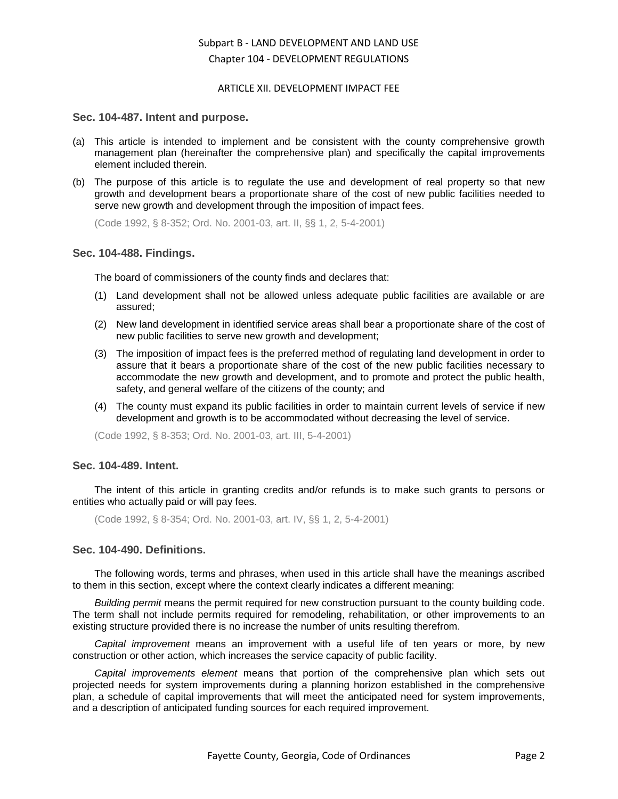#### ARTICLE XII. DEVELOPMENT IMPACT FEE

#### <span id="page-1-0"></span>**Sec. 104-487. Intent and purpose.**

- (a) This article is intended to implement and be consistent with the county comprehensive growth management plan (hereinafter the comprehensive plan) and specifically the capital improvements element included therein.
- (b) The purpose of this article is to regulate the use and development of real property so that new growth and development bears a proportionate share of the cost of new public facilities needed to serve new growth and development through the imposition of impact fees.

(Code 1992, § 8-352; Ord. No. 2001-03, art. II, §§ 1, 2, 5-4-2001)

### <span id="page-1-1"></span>**Sec. 104-488. Findings.**

The board of commissioners of the county finds and declares that:

- (1) Land development shall not be allowed unless adequate public facilities are available or are assured;
- (2) New land development in identified service areas shall bear a proportionate share of the cost of new public facilities to serve new growth and development;
- (3) The imposition of impact fees is the preferred method of regulating land development in order to assure that it bears a proportionate share of the cost of the new public facilities necessary to accommodate the new growth and development, and to promote and protect the public health, safety, and general welfare of the citizens of the county; and
- (4) The county must expand its public facilities in order to maintain current levels of service if new development and growth is to be accommodated without decreasing the level of service.

(Code 1992, § 8-353; Ord. No. 2001-03, art. III, 5-4-2001)

#### <span id="page-1-2"></span>**Sec. 104-489. Intent.**

The intent of this article in granting credits and/or refunds is to make such grants to persons or entities who actually paid or will pay fees.

(Code 1992, § 8-354; Ord. No. 2001-03, art. IV, §§ 1, 2, 5-4-2001)

#### <span id="page-1-3"></span>**Sec. 104-490. Definitions.**

The following words, terms and phrases, when used in this article shall have the meanings ascribed to them in this section, except where the context clearly indicates a different meaning:

*Building permit* means the permit required for new construction pursuant to the county building code. The term shall not include permits required for remodeling, rehabilitation, or other improvements to an existing structure provided there is no increase the number of units resulting therefrom.

*Capital improvement* means an improvement with a useful life of ten years or more, by new construction or other action, which increases the service capacity of public facility.

*Capital improvements element* means that portion of the comprehensive plan which sets out projected needs for system improvements during a planning horizon established in the comprehensive plan, a schedule of capital improvements that will meet the anticipated need for system improvements, and a description of anticipated funding sources for each required improvement.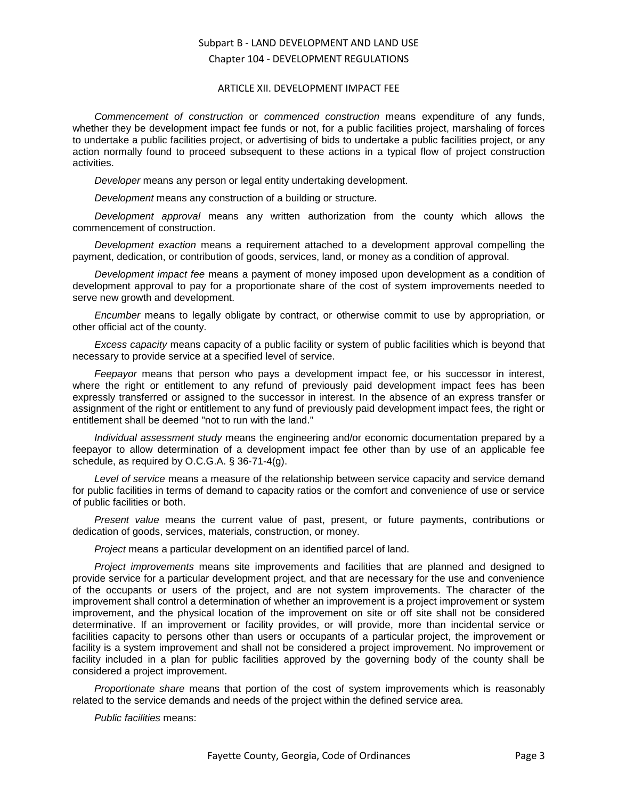#### ARTICLE XII. DEVELOPMENT IMPACT FEE

*Commencement of construction* or *commenced construction* means expenditure of any funds, whether they be development impact fee funds or not, for a public facilities project, marshaling of forces to undertake a public facilities project, or advertising of bids to undertake a public facilities project, or any action normally found to proceed subsequent to these actions in a typical flow of project construction activities.

*Developer* means any person or legal entity undertaking development.

*Development* means any construction of a building or structure.

*Development approval* means any written authorization from the county which allows the commencement of construction.

*Development exaction* means a requirement attached to a development approval compelling the payment, dedication, or contribution of goods, services, land, or money as a condition of approval.

*Development impact fee* means a payment of money imposed upon development as a condition of development approval to pay for a proportionate share of the cost of system improvements needed to serve new growth and development.

*Encumber* means to legally obligate by contract, or otherwise commit to use by appropriation, or other official act of the county.

*Excess capacity* means capacity of a public facility or system of public facilities which is beyond that necessary to provide service at a specified level of service.

*Feepayor* means that person who pays a development impact fee, or his successor in interest, where the right or entitlement to any refund of previously paid development impact fees has been expressly transferred or assigned to the successor in interest. In the absence of an express transfer or assignment of the right or entitlement to any fund of previously paid development impact fees, the right or entitlement shall be deemed "not to run with the land."

*Individual assessment study* means the engineering and/or economic documentation prepared by a feepayor to allow determination of a development impact fee other than by use of an applicable fee schedule, as required by O.C.G.A. § 36-71-4(g).

*Level of service* means a measure of the relationship between service capacity and service demand for public facilities in terms of demand to capacity ratios or the comfort and convenience of use or service of public facilities or both.

*Present value* means the current value of past, present, or future payments, contributions or dedication of goods, services, materials, construction, or money.

*Project* means a particular development on an identified parcel of land.

*Project improvements* means site improvements and facilities that are planned and designed to provide service for a particular development project, and that are necessary for the use and convenience of the occupants or users of the project, and are not system improvements. The character of the improvement shall control a determination of whether an improvement is a project improvement or system improvement, and the physical location of the improvement on site or off site shall not be considered determinative. If an improvement or facility provides, or will provide, more than incidental service or facilities capacity to persons other than users or occupants of a particular project, the improvement or facility is a system improvement and shall not be considered a project improvement. No improvement or facility included in a plan for public facilities approved by the governing body of the county shall be considered a project improvement.

*Proportionate share* means that portion of the cost of system improvements which is reasonably related to the service demands and needs of the project within the defined service area.

*Public facilities* means: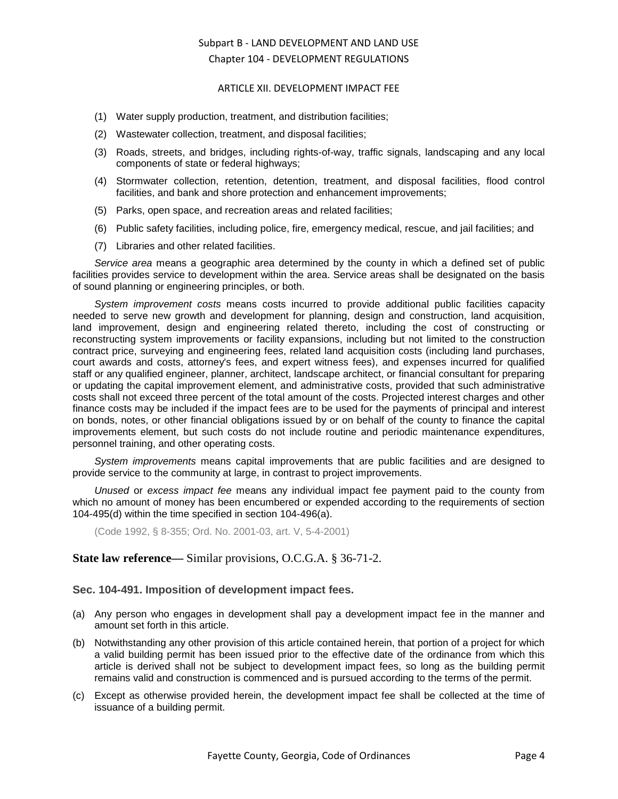#### ARTICLE XII. DEVELOPMENT IMPACT FEE

- (1) Water supply production, treatment, and distribution facilities;
- (2) Wastewater collection, treatment, and disposal facilities;
- (3) Roads, streets, and bridges, including rights-of-way, traffic signals, landscaping and any local components of state or federal highways;
- (4) Stormwater collection, retention, detention, treatment, and disposal facilities, flood control facilities, and bank and shore protection and enhancement improvements;
- (5) Parks, open space, and recreation areas and related facilities;
- (6) Public safety facilities, including police, fire, emergency medical, rescue, and jail facilities; and
- (7) Libraries and other related facilities.

*Service area* means a geographic area determined by the county in which a defined set of public facilities provides service to development within the area. Service areas shall be designated on the basis of sound planning or engineering principles, or both.

*System improvement costs* means costs incurred to provide additional public facilities capacity needed to serve new growth and development for planning, design and construction, land acquisition, land improvement, design and engineering related thereto, including the cost of constructing or reconstructing system improvements or facility expansions, including but not limited to the construction contract price, surveying and engineering fees, related land acquisition costs (including land purchases, court awards and costs, attorney's fees, and expert witness fees), and expenses incurred for qualified staff or any qualified engineer, planner, architect, landscape architect, or financial consultant for preparing or updating the capital improvement element, and administrative costs, provided that such administrative costs shall not exceed three percent of the total amount of the costs. Projected interest charges and other finance costs may be included if the impact fees are to be used for the payments of principal and interest on bonds, notes, or other financial obligations issued by or on behalf of the county to finance the capital improvements element, but such costs do not include routine and periodic maintenance expenditures, personnel training, and other operating costs.

*System improvements* means capital improvements that are public facilities and are designed to provide service to the community at large, in contrast to project improvements.

*Unused* or *excess impact fee* means any individual impact fee payment paid to the county from which no amount of money has been encumbered or expended according to the requirements of section 104-495(d) within the time specified in section 104-496(a).

(Code 1992, § 8-355; Ord. No. 2001-03, art. V, 5-4-2001)

## **State law reference—** Similar provisions, O.C.G.A. § 36-71-2.

#### <span id="page-3-0"></span>**Sec. 104-491. Imposition of development impact fees.**

- (a) Any person who engages in development shall pay a development impact fee in the manner and amount set forth in this article.
- (b) Notwithstanding any other provision of this article contained herein, that portion of a project for which a valid building permit has been issued prior to the effective date of the ordinance from which this article is derived shall not be subject to development impact fees, so long as the building permit remains valid and construction is commenced and is pursued according to the terms of the permit.
- (c) Except as otherwise provided herein, the development impact fee shall be collected at the time of issuance of a building permit.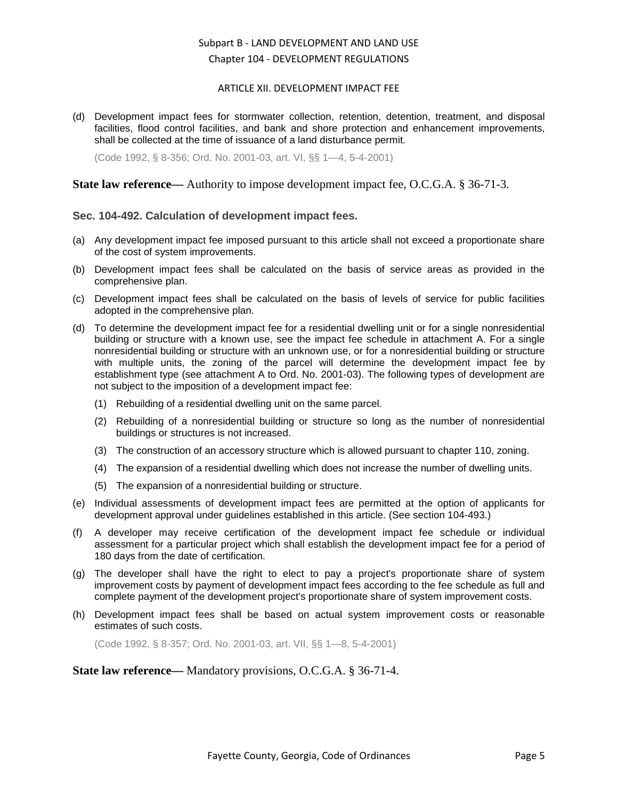#### ARTICLE XII. DEVELOPMENT IMPACT FEE

(d) Development impact fees for stormwater collection, retention, detention, treatment, and disposal facilities, flood control facilities, and bank and shore protection and enhancement improvements, shall be collected at the time of issuance of a land disturbance permit.

(Code 1992, § 8-356; Ord. No. 2001-03, art. VI, §§ 1—4, 5-4-2001)

### **State law reference—** Authority to impose development impact fee, O.C.G.A. § 36-71-3.

### <span id="page-4-0"></span>**Sec. 104-492. Calculation of development impact fees.**

- (a) Any development impact fee imposed pursuant to this article shall not exceed a proportionate share of the cost of system improvements.
- (b) Development impact fees shall be calculated on the basis of service areas as provided in the comprehensive plan.
- (c) Development impact fees shall be calculated on the basis of levels of service for public facilities adopted in the comprehensive plan.
- (d) To determine the development impact fee for a residential dwelling unit or for a single nonresidential building or structure with a known use, see the impact fee schedule in attachment A. For a single nonresidential building or structure with an unknown use, or for a nonresidential building or structure with multiple units, the zoning of the parcel will determine the development impact fee by establishment type (see attachment A to Ord. No. 2001-03). The following types of development are not subject to the imposition of a development impact fee:
	- (1) Rebuilding of a residential dwelling unit on the same parcel.
	- (2) Rebuilding of a nonresidential building or structure so long as the number of nonresidential buildings or structures is not increased.
	- (3) The construction of an accessory structure which is allowed pursuant to chapter 110, zoning.
	- (4) The expansion of a residential dwelling which does not increase the number of dwelling units.
	- (5) The expansion of a nonresidential building or structure.
- (e) Individual assessments of development impact fees are permitted at the option of applicants for development approval under guidelines established in this article. (See section 104-493.)
- (f) A developer may receive certification of the development impact fee schedule or individual assessment for a particular project which shall establish the development impact fee for a period of 180 days from the date of certification.
- (g) The developer shall have the right to elect to pay a project's proportionate share of system improvement costs by payment of development impact fees according to the fee schedule as full and complete payment of the development project's proportionate share of system improvement costs.
- (h) Development impact fees shall be based on actual system improvement costs or reasonable estimates of such costs.

(Code 1992, § 8-357; Ord. No. 2001-03, art. VII, §§ 1—8, 5-4-2001)

**State law reference—** Mandatory provisions, O.C.G.A. § 36-71-4.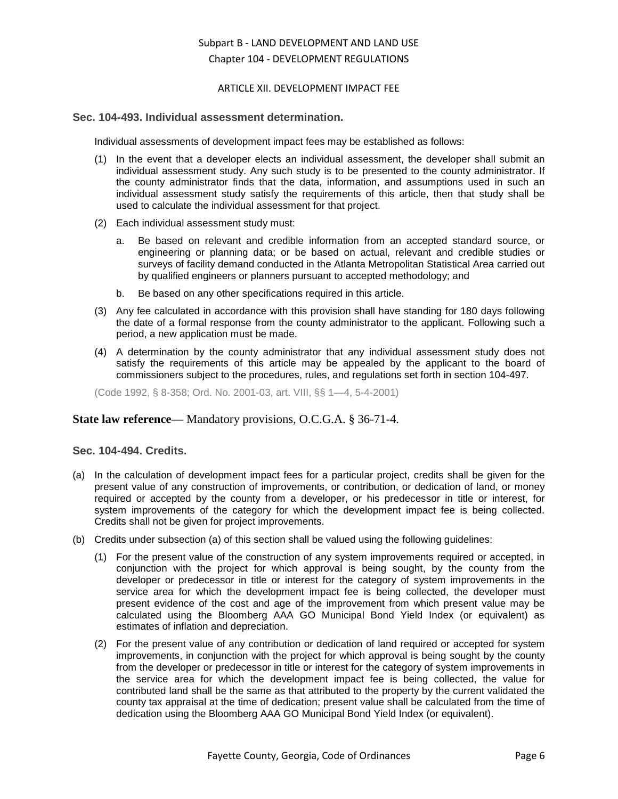#### ARTICLE XII. DEVELOPMENT IMPACT FEE

### <span id="page-5-0"></span>**Sec. 104-493. Individual assessment determination.**

Individual assessments of development impact fees may be established as follows:

- (1) In the event that a developer elects an individual assessment, the developer shall submit an individual assessment study. Any such study is to be presented to the county administrator. If the county administrator finds that the data, information, and assumptions used in such an individual assessment study satisfy the requirements of this article, then that study shall be used to calculate the individual assessment for that project.
- (2) Each individual assessment study must:
	- a. Be based on relevant and credible information from an accepted standard source, or engineering or planning data; or be based on actual, relevant and credible studies or surveys of facility demand conducted in the Atlanta Metropolitan Statistical Area carried out by qualified engineers or planners pursuant to accepted methodology; and
	- b. Be based on any other specifications required in this article.
- (3) Any fee calculated in accordance with this provision shall have standing for 180 days following the date of a formal response from the county administrator to the applicant. Following such a period, a new application must be made.
- (4) A determination by the county administrator that any individual assessment study does not satisfy the requirements of this article may be appealed by the applicant to the board of commissioners subject to the procedures, rules, and regulations set forth in section 104-497.

(Code 1992, § 8-358; Ord. No. 2001-03, art. VIII, §§ 1—4, 5-4-2001)

#### **State law reference—** Mandatory provisions, O.C.G.A. § 36-71-4.

### <span id="page-5-1"></span>**Sec. 104-494. Credits.**

- (a) In the calculation of development impact fees for a particular project, credits shall be given for the present value of any construction of improvements, or contribution, or dedication of land, or money required or accepted by the county from a developer, or his predecessor in title or interest, for system improvements of the category for which the development impact fee is being collected. Credits shall not be given for project improvements.
- (b) Credits under subsection (a) of this section shall be valued using the following guidelines:
	- (1) For the present value of the construction of any system improvements required or accepted, in conjunction with the project for which approval is being sought, by the county from the developer or predecessor in title or interest for the category of system improvements in the service area for which the development impact fee is being collected, the developer must present evidence of the cost and age of the improvement from which present value may be calculated using the Bloomberg AAA GO Municipal Bond Yield Index (or equivalent) as estimates of inflation and depreciation.
	- (2) For the present value of any contribution or dedication of land required or accepted for system improvements, in conjunction with the project for which approval is being sought by the county from the developer or predecessor in title or interest for the category of system improvements in the service area for which the development impact fee is being collected, the value for contributed land shall be the same as that attributed to the property by the current validated the county tax appraisal at the time of dedication; present value shall be calculated from the time of dedication using the Bloomberg AAA GO Municipal Bond Yield Index (or equivalent).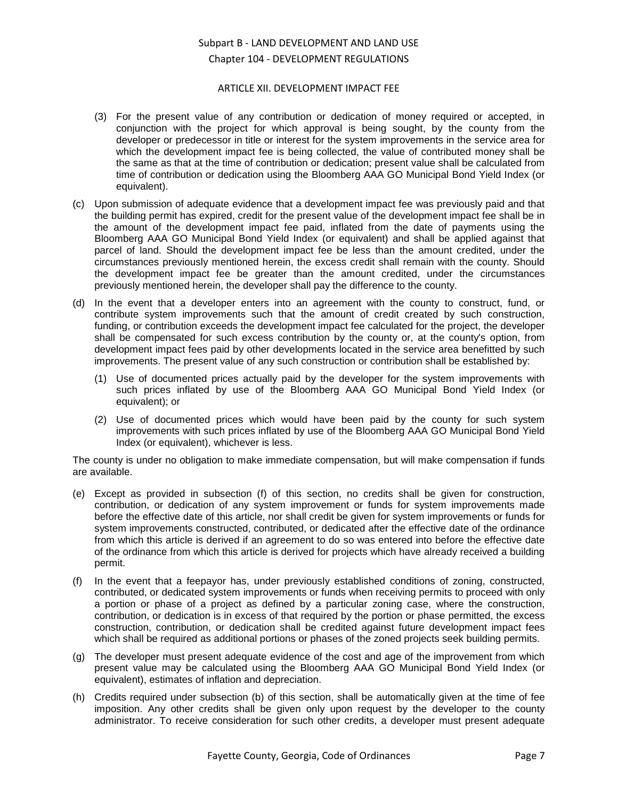#### ARTICLE XII. DEVELOPMENT IMPACT FEE

- (3) For the present value of any contribution or dedication of money required or accepted, in conjunction with the project for which approval is being sought, by the county from the developer or predecessor in title or interest for the system improvements in the service area for which the development impact fee is being collected, the value of contributed money shall be the same as that at the time of contribution or dedication; present value shall be calculated from time of contribution or dedication using the Bloomberg AAA GO Municipal Bond Yield Index (or equivalent).
- (c) Upon submission of adequate evidence that a development impact fee was previously paid and that the building permit has expired, credit for the present value of the development impact fee shall be in the amount of the development impact fee paid, inflated from the date of payments using the Bloomberg AAA GO Municipal Bond Yield Index (or equivalent) and shall be applied against that parcel of land. Should the development impact fee be less than the amount credited, under the circumstances previously mentioned herein, the excess credit shall remain with the county. Should the development impact fee be greater than the amount credited, under the circumstances previously mentioned herein, the developer shall pay the difference to the county.
- (d) In the event that a developer enters into an agreement with the county to construct, fund, or contribute system improvements such that the amount of credit created by such construction, funding, or contribution exceeds the development impact fee calculated for the project, the developer shall be compensated for such excess contribution by the county or, at the county's option, from development impact fees paid by other developments located in the service area benefitted by such improvements. The present value of any such construction or contribution shall be established by:
	- (1) Use of documented prices actually paid by the developer for the system improvements with such prices inflated by use of the Bloomberg AAA GO Municipal Bond Yield Index (or equivalent); or
	- (2) Use of documented prices which would have been paid by the county for such system improvements with such prices inflated by use of the Bloomberg AAA GO Municipal Bond Yield Index (or equivalent), whichever is less.

The county is under no obligation to make immediate compensation, but will make compensation if funds are available.

- (e) Except as provided in subsection (f) of this section, no credits shall be given for construction, contribution, or dedication of any system improvement or funds for system improvements made before the effective date of this article, nor shall credit be given for system improvements or funds for system improvements constructed, contributed, or dedicated after the effective date of the ordinance from which this article is derived if an agreement to do so was entered into before the effective date of the ordinance from which this article is derived for projects which have already received a building permit.
- (f) In the event that a feepayor has, under previously established conditions of zoning, constructed, contributed, or dedicated system improvements or funds when receiving permits to proceed with only a portion or phase of a project as defined by a particular zoning case, where the construction, contribution, or dedication is in excess of that required by the portion or phase permitted, the excess construction, contribution, or dedication shall be credited against future development impact fees which shall be required as additional portions or phases of the zoned projects seek building permits.
- (g) The developer must present adequate evidence of the cost and age of the improvement from which present value may be calculated using the Bloomberg AAA GO Municipal Bond Yield Index (or equivalent), estimates of inflation and depreciation.
- (h) Credits required under subsection (b) of this section, shall be automatically given at the time of fee imposition. Any other credits shall be given only upon request by the developer to the county administrator. To receive consideration for such other credits, a developer must present adequate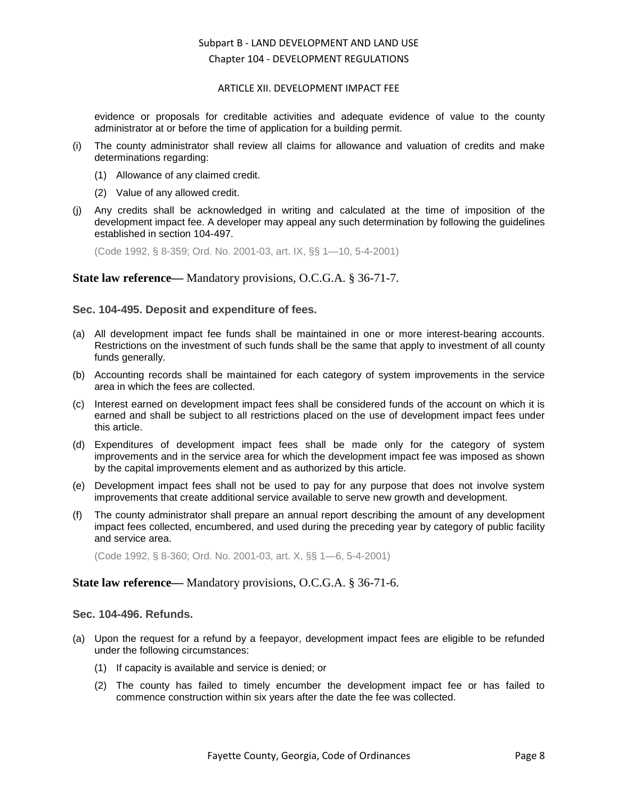#### ARTICLE XII. DEVELOPMENT IMPACT FEE

evidence or proposals for creditable activities and adequate evidence of value to the county administrator at or before the time of application for a building permit.

- (i) The county administrator shall review all claims for allowance and valuation of credits and make determinations regarding:
	- (1) Allowance of any claimed credit.
	- (2) Value of any allowed credit.
- (j) Any credits shall be acknowledged in writing and calculated at the time of imposition of the development impact fee. A developer may appeal any such determination by following the guidelines established in section 104-497.

(Code 1992, § 8-359; Ord. No. 2001-03, art. IX, §§ 1—10, 5-4-2001)

### **State law reference—** Mandatory provisions, O.C.G.A. § 36-71-7.

#### <span id="page-7-0"></span>**Sec. 104-495. Deposit and expenditure of fees.**

- (a) All development impact fee funds shall be maintained in one or more interest-bearing accounts. Restrictions on the investment of such funds shall be the same that apply to investment of all county funds generally.
- (b) Accounting records shall be maintained for each category of system improvements in the service area in which the fees are collected.
- (c) Interest earned on development impact fees shall be considered funds of the account on which it is earned and shall be subject to all restrictions placed on the use of development impact fees under this article.
- (d) Expenditures of development impact fees shall be made only for the category of system improvements and in the service area for which the development impact fee was imposed as shown by the capital improvements element and as authorized by this article.
- (e) Development impact fees shall not be used to pay for any purpose that does not involve system improvements that create additional service available to serve new growth and development.
- (f) The county administrator shall prepare an annual report describing the amount of any development impact fees collected, encumbered, and used during the preceding year by category of public facility and service area.

(Code 1992, § 8-360; Ord. No. 2001-03, art. X, §§ 1—6, 5-4-2001)

## **State law reference—** Mandatory provisions, O.C.G.A. § 36-71-6.

## <span id="page-7-1"></span>**Sec. 104-496. Refunds.**

- (a) Upon the request for a refund by a feepayor, development impact fees are eligible to be refunded under the following circumstances:
	- (1) If capacity is available and service is denied; or
	- (2) The county has failed to timely encumber the development impact fee or has failed to commence construction within six years after the date the fee was collected.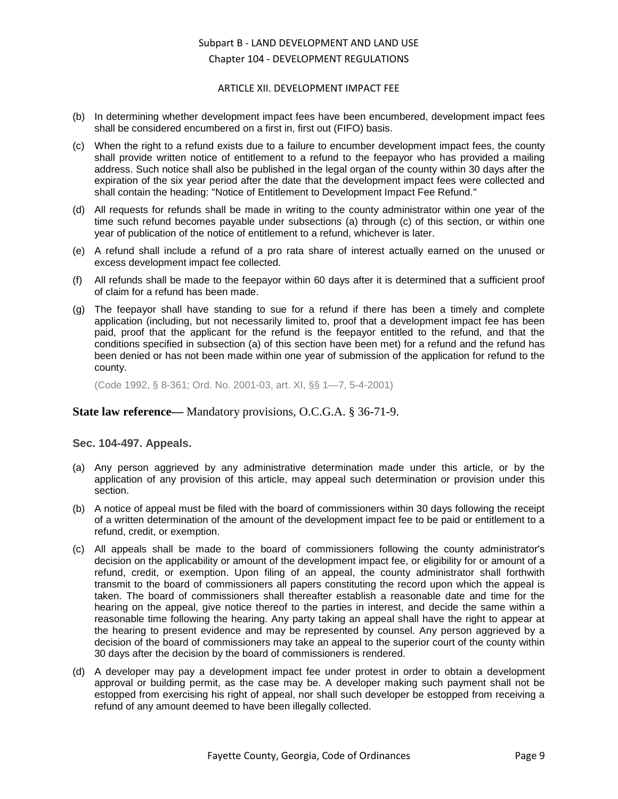#### ARTICLE XII. DEVELOPMENT IMPACT FEE

- (b) In determining whether development impact fees have been encumbered, development impact fees shall be considered encumbered on a first in, first out (FIFO) basis.
- (c) When the right to a refund exists due to a failure to encumber development impact fees, the county shall provide written notice of entitlement to a refund to the feepayor who has provided a mailing address. Such notice shall also be published in the legal organ of the county within 30 days after the expiration of the six year period after the date that the development impact fees were collected and shall contain the heading: "Notice of Entitlement to Development Impact Fee Refund."
- (d) All requests for refunds shall be made in writing to the county administrator within one year of the time such refund becomes payable under subsections (a) through (c) of this section, or within one year of publication of the notice of entitlement to a refund, whichever is later.
- (e) A refund shall include a refund of a pro rata share of interest actually earned on the unused or excess development impact fee collected.
- (f) All refunds shall be made to the feepayor within 60 days after it is determined that a sufficient proof of claim for a refund has been made.
- (g) The feepayor shall have standing to sue for a refund if there has been a timely and complete application (including, but not necessarily limited to, proof that a development impact fee has been paid, proof that the applicant for the refund is the feepayor entitled to the refund, and that the conditions specified in subsection (a) of this section have been met) for a refund and the refund has been denied or has not been made within one year of submission of the application for refund to the county.

(Code 1992, § 8-361; Ord. No. 2001-03, art. XI, §§ 1—7, 5-4-2001)

#### **State law reference—** Mandatory provisions, O.C.G.A. § 36-71-9.

#### <span id="page-8-0"></span>**Sec. 104-497. Appeals.**

- (a) Any person aggrieved by any administrative determination made under this article, or by the application of any provision of this article, may appeal such determination or provision under this section.
- (b) A notice of appeal must be filed with the board of commissioners within 30 days following the receipt of a written determination of the amount of the development impact fee to be paid or entitlement to a refund, credit, or exemption.
- (c) All appeals shall be made to the board of commissioners following the county administrator's decision on the applicability or amount of the development impact fee, or eligibility for or amount of a refund, credit, or exemption. Upon filing of an appeal, the county administrator shall forthwith transmit to the board of commissioners all papers constituting the record upon which the appeal is taken. The board of commissioners shall thereafter establish a reasonable date and time for the hearing on the appeal, give notice thereof to the parties in interest, and decide the same within a reasonable time following the hearing. Any party taking an appeal shall have the right to appear at the hearing to present evidence and may be represented by counsel. Any person aggrieved by a decision of the board of commissioners may take an appeal to the superior court of the county within 30 days after the decision by the board of commissioners is rendered.
- (d) A developer may pay a development impact fee under protest in order to obtain a development approval or building permit, as the case may be. A developer making such payment shall not be estopped from exercising his right of appeal, nor shall such developer be estopped from receiving a refund of any amount deemed to have been illegally collected.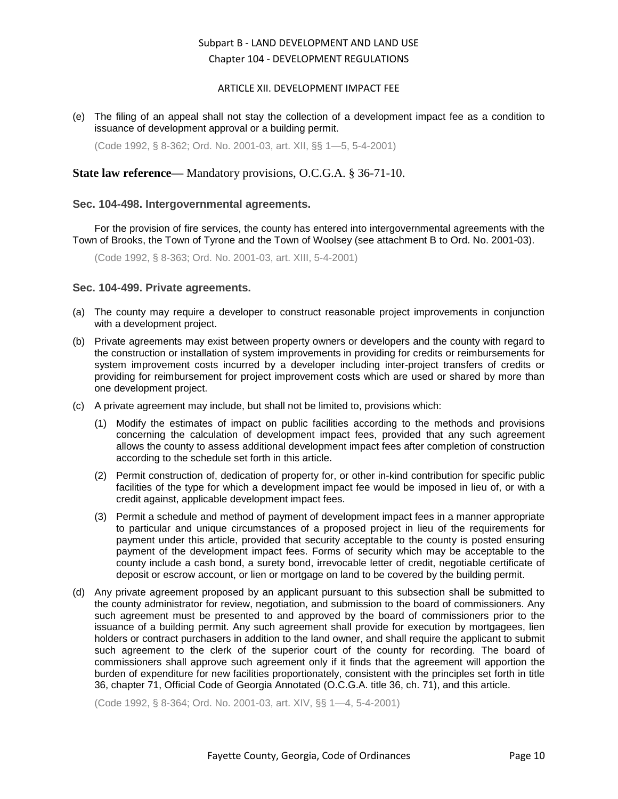#### ARTICLE XII. DEVELOPMENT IMPACT FEE

(e) The filing of an appeal shall not stay the collection of a development impact fee as a condition to issuance of development approval or a building permit.

(Code 1992, § 8-362; Ord. No. 2001-03, art. XII, §§ 1—5, 5-4-2001)

## **State law reference—** Mandatory provisions, O.C.G.A. § 36-71-10.

#### <span id="page-9-0"></span>**Sec. 104-498. Intergovernmental agreements.**

For the provision of fire services, the county has entered into intergovernmental agreements with the Town of Brooks, the Town of Tyrone and the Town of Woolsey (see attachment B to Ord. No. 2001-03).

(Code 1992, § 8-363; Ord. No. 2001-03, art. XIII, 5-4-2001)

#### <span id="page-9-1"></span>**Sec. 104-499. Private agreements.**

- (a) The county may require a developer to construct reasonable project improvements in conjunction with a development project.
- (b) Private agreements may exist between property owners or developers and the county with regard to the construction or installation of system improvements in providing for credits or reimbursements for system improvement costs incurred by a developer including inter-project transfers of credits or providing for reimbursement for project improvement costs which are used or shared by more than one development project.
- (c) A private agreement may include, but shall not be limited to, provisions which:
	- (1) Modify the estimates of impact on public facilities according to the methods and provisions concerning the calculation of development impact fees, provided that any such agreement allows the county to assess additional development impact fees after completion of construction according to the schedule set forth in this article.
	- (2) Permit construction of, dedication of property for, or other in-kind contribution for specific public facilities of the type for which a development impact fee would be imposed in lieu of, or with a credit against, applicable development impact fees.
	- (3) Permit a schedule and method of payment of development impact fees in a manner appropriate to particular and unique circumstances of a proposed project in lieu of the requirements for payment under this article, provided that security acceptable to the county is posted ensuring payment of the development impact fees. Forms of security which may be acceptable to the county include a cash bond, a surety bond, irrevocable letter of credit, negotiable certificate of deposit or escrow account, or lien or mortgage on land to be covered by the building permit.
- (d) Any private agreement proposed by an applicant pursuant to this subsection shall be submitted to the county administrator for review, negotiation, and submission to the board of commissioners. Any such agreement must be presented to and approved by the board of commissioners prior to the issuance of a building permit. Any such agreement shall provide for execution by mortgagees, lien holders or contract purchasers in addition to the land owner, and shall require the applicant to submit such agreement to the clerk of the superior court of the county for recording. The board of commissioners shall approve such agreement only if it finds that the agreement will apportion the burden of expenditure for new facilities proportionately, consistent with the principles set forth in title 36, chapter 71, Official Code of Georgia Annotated (O.C.G.A. title 36, ch. 71), and this article.

(Code 1992, § 8-364; Ord. No. 2001-03, art. XIV, §§ 1—4, 5-4-2001)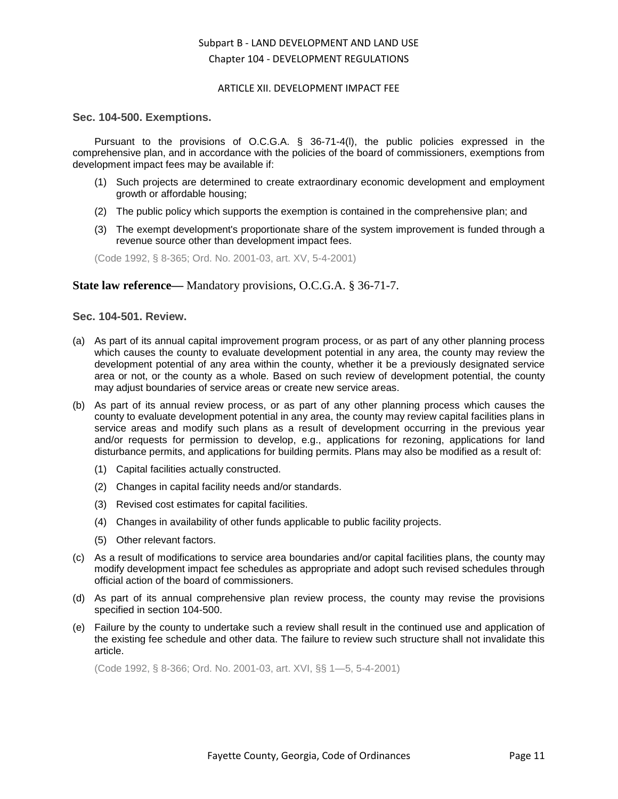#### ARTICLE XII. DEVELOPMENT IMPACT FEE

#### <span id="page-10-0"></span>**Sec. 104-500. Exemptions.**

Pursuant to the provisions of O.C.G.A. § 36-71-4(l), the public policies expressed in the comprehensive plan, and in accordance with the policies of the board of commissioners, exemptions from development impact fees may be available if:

- (1) Such projects are determined to create extraordinary economic development and employment growth or affordable housing;
- (2) The public policy which supports the exemption is contained in the comprehensive plan; and
- (3) The exempt development's proportionate share of the system improvement is funded through a revenue source other than development impact fees.

(Code 1992, § 8-365; Ord. No. 2001-03, art. XV, 5-4-2001)

#### **State law reference—** Mandatory provisions, O.C.G.A. § 36-71-7.

### <span id="page-10-1"></span>**Sec. 104-501. Review.**

- (a) As part of its annual capital improvement program process, or as part of any other planning process which causes the county to evaluate development potential in any area, the county may review the development potential of any area within the county, whether it be a previously designated service area or not, or the county as a whole. Based on such review of development potential, the county may adjust boundaries of service areas or create new service areas.
- (b) As part of its annual review process, or as part of any other planning process which causes the county to evaluate development potential in any area, the county may review capital facilities plans in service areas and modify such plans as a result of development occurring in the previous year and/or requests for permission to develop, e.g., applications for rezoning, applications for land disturbance permits, and applications for building permits. Plans may also be modified as a result of:
	- (1) Capital facilities actually constructed.
	- (2) Changes in capital facility needs and/or standards.
	- (3) Revised cost estimates for capital facilities.
	- (4) Changes in availability of other funds applicable to public facility projects.
	- (5) Other relevant factors.
- (c) As a result of modifications to service area boundaries and/or capital facilities plans, the county may modify development impact fee schedules as appropriate and adopt such revised schedules through official action of the board of commissioners.
- (d) As part of its annual comprehensive plan review process, the county may revise the provisions specified in section 104-500.
- (e) Failure by the county to undertake such a review shall result in the continued use and application of the existing fee schedule and other data. The failure to review such structure shall not invalidate this article.

(Code 1992, § 8-366; Ord. No. 2001-03, art. XVI, §§ 1—5, 5-4-2001)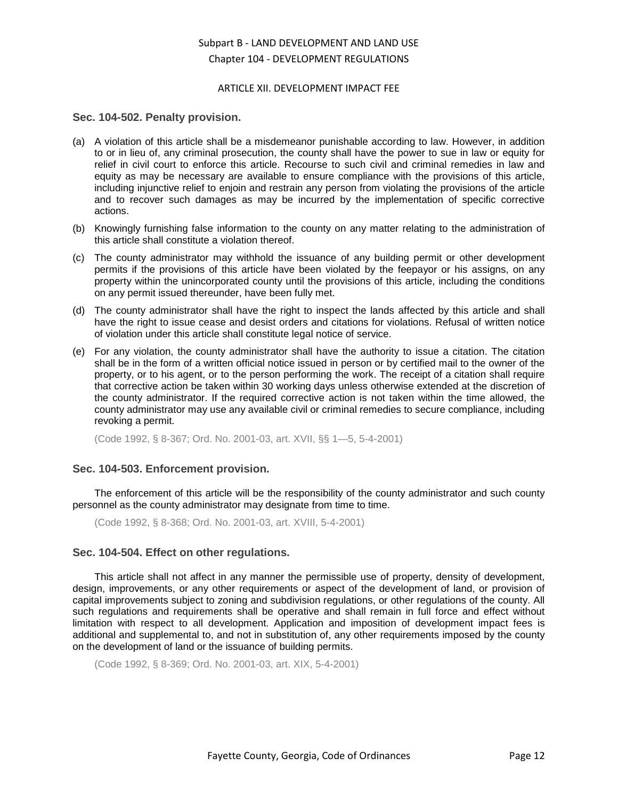#### ARTICLE XII. DEVELOPMENT IMPACT FEE

#### <span id="page-11-0"></span>**Sec. 104-502. Penalty provision.**

- (a) A violation of this article shall be a misdemeanor punishable according to law. However, in addition to or in lieu of, any criminal prosecution, the county shall have the power to sue in law or equity for relief in civil court to enforce this article. Recourse to such civil and criminal remedies in law and equity as may be necessary are available to ensure compliance with the provisions of this article, including injunctive relief to enjoin and restrain any person from violating the provisions of the article and to recover such damages as may be incurred by the implementation of specific corrective actions.
- (b) Knowingly furnishing false information to the county on any matter relating to the administration of this article shall constitute a violation thereof.
- (c) The county administrator may withhold the issuance of any building permit or other development permits if the provisions of this article have been violated by the feepayor or his assigns, on any property within the unincorporated county until the provisions of this article, including the conditions on any permit issued thereunder, have been fully met.
- (d) The county administrator shall have the right to inspect the lands affected by this article and shall have the right to issue cease and desist orders and citations for violations. Refusal of written notice of violation under this article shall constitute legal notice of service.
- (e) For any violation, the county administrator shall have the authority to issue a citation. The citation shall be in the form of a written official notice issued in person or by certified mail to the owner of the property, or to his agent, or to the person performing the work. The receipt of a citation shall require that corrective action be taken within 30 working days unless otherwise extended at the discretion of the county administrator. If the required corrective action is not taken within the time allowed, the county administrator may use any available civil or criminal remedies to secure compliance, including revoking a permit.

(Code 1992, § 8-367; Ord. No. 2001-03, art. XVII, §§ 1—5, 5-4-2001)

#### <span id="page-11-1"></span>**Sec. 104-503. Enforcement provision.**

The enforcement of this article will be the responsibility of the county administrator and such county personnel as the county administrator may designate from time to time.

(Code 1992, § 8-368; Ord. No. 2001-03, art. XVIII, 5-4-2001)

#### <span id="page-11-2"></span>**Sec. 104-504. Effect on other regulations.**

This article shall not affect in any manner the permissible use of property, density of development, design, improvements, or any other requirements or aspect of the development of land, or provision of capital improvements subject to zoning and subdivision regulations, or other regulations of the county. All such regulations and requirements shall be operative and shall remain in full force and effect without limitation with respect to all development. Application and imposition of development impact fees is additional and supplemental to, and not in substitution of, any other requirements imposed by the county on the development of land or the issuance of building permits.

(Code 1992, § 8-369; Ord. No. 2001-03, art. XIX, 5-4-2001)